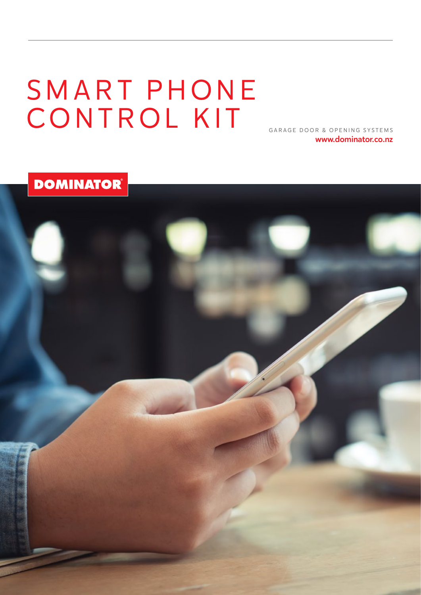# SMART PHONE CONTROL KIT

GARAGE DOOR & OPENING SYSTEMS www.dominator.co.nz

**DOMINATOR**